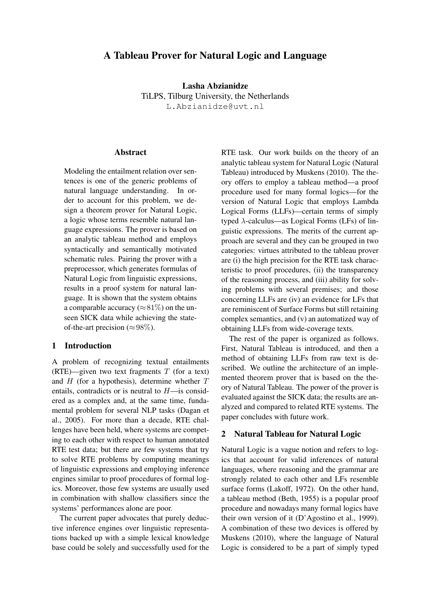# A Tableau Prover for Natural Logic and Language

Lasha Abzianidze TiLPS, Tilburg University, the Netherlands L.Abzianidze@uvt.nl

#### **Abstract**

Modeling the entailment relation over sentences is one of the generic problems of natural language understanding. In order to account for this problem, we design a theorem prover for Natural Logic, a logic whose terms resemble natural language expressions. The prover is based on an analytic tableau method and employs syntactically and semantically motivated schematic rules. Pairing the prover with a preprocessor, which generates formulas of Natural Logic from linguistic expressions, results in a proof system for natural language. It is shown that the system obtains a comparable accuracy ( $\approx$ 81%) on the unseen SICK data while achieving the stateof-the-art precision ( $\approx 98\%$ ).

## 1 Introduction

A problem of recognizing textual entailments (RTE)—given two text fragments  $T$  (for a text) and  $H$  (for a hypothesis), determine whether  $T$ entails, contradicts or is neutral to  $H$ —is considered as a complex and, at the same time, fundamental problem for several NLP tasks (Dagan et al., 2005). For more than a decade, RTE challenges have been held, where systems are competing to each other with respect to human annotated RTE test data; but there are few systems that try to solve RTE problems by computing meanings of linguistic expressions and employing inference engines similar to proof procedures of formal logics. Moreover, those few systems are usually used in combination with shallow classifiers since the systems' performances alone are poor.

The current paper advocates that purely deductive inference engines over linguistic representations backed up with a simple lexical knowledge base could be solely and successfully used for the RTE task. Our work builds on the theory of an analytic tableau system for Natural Logic (Natural Tableau) introduced by Muskens (2010). The theory offers to employ a tableau method—a proof procedure used for many formal logics—for the version of Natural Logic that employs Lambda Logical Forms (LLFs)—certain terms of simply typed  $\lambda$ -calculus—as Logical Forms (LFs) of linguistic expressions. The merits of the current approach are several and they can be grouped in two categories: virtues attributed to the tableau prover are (i) the high precision for the RTE task characteristic to proof procedures, (ii) the transparency of the reasoning process, and (iii) ability for solving problems with several premises; and those concerning LLFs are (iv) an evidence for LFs that are reminiscent of Surface Forms but still retaining complex semantics, and (v) an automatized way of obtaining LLFs from wide-coverage texts.

The rest of the paper is organized as follows. First, Natural Tableau is introduced, and then a method of obtaining LLFs from raw text is described. We outline the architecture of an implemented theorem prover that is based on the theory of Natural Tableau. The power of the prover is evaluated against the SICK data; the results are analyzed and compared to related RTE systems. The paper concludes with future work.

## 2 Natural Tableau for Natural Logic

Natural Logic is a vague notion and refers to logics that account for valid inferences of natural languages, where reasoning and the grammar are strongly related to each other and LFs resemble surface forms (Lakoff, 1972). On the other hand, a tableau method (Beth, 1955) is a popular proof procedure and nowadays many formal logics have their own version of it (D'Agostino et al., 1999). A combination of these two devices is offered by Muskens (2010), where the language of Natural Logic is considered to be a part of simply typed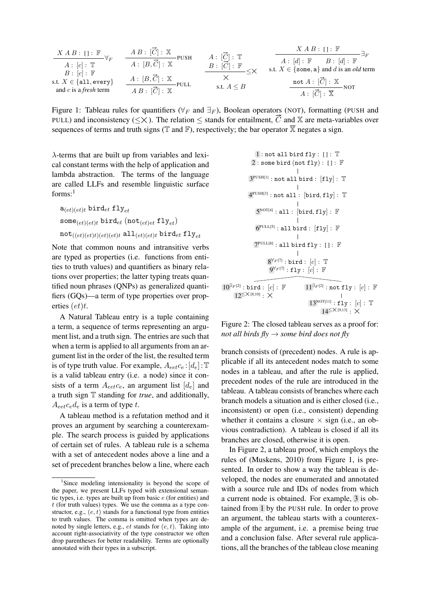| $X \land B : [] : \mathbb{F}$      | $A \cdot [\vec{C}] : \mathbb{X}$ | $A : [\vec{C}] : \mathbb{Y}$ |                        |                        |     |     |     |     |
|------------------------------------|----------------------------------|------------------------------|------------------------|------------------------|-----|-----|-----|-----|
| $A : [c] : \mathbb{T}$             | $A : [B, \vec{C}] : \mathbb{X}$  | $A : [\vec{C}] : \mathbb{T}$ | $A : [d] : \mathbb{F}$ | $B : [d] : \mathbb{F}$ |     |     |     |     |
| $B : [c] : \mathbb{F}$             | $A : [B, \vec{C}] : \mathbb{X}$  | $B : [\vec{C}] : \mathbb{F}$ | $x$                    | $x$                    | $x$ | $x$ |     |     |
| $B : [\vec{C}] : \mathbb{F}$       | $x$                              | $x$                          | $x$                    | $x$                    | $x$ |     |     |     |
| $x$ and $c$ is a <i>first</i> term | $A \cdot [\vec{C}] : \mathbb{X}$ | $x$                          | $x$                    | $x$                    | $x$ | $x$ |     |     |
| $x$ and $c$ is a <i>first</i> term | $A \cdot [\vec{C}] : \mathbb{X}$ | $x$                          | $x$                    | $x$                    | $x$ | $x$ | $x$ | $x$ |

Figure 1: Tableau rules for quantifiers ( $\forall_F$  and  $\exists_F$ ), Boolean operators (NOT), formatting (PUSH and PULL) and inconsistency ( $\leq \times$ ). The relation  $\leq$  stands for entailment,  $\vec{C}$  and  $\mathbb{X}$  are meta-variables sequences of terms and truth signs ( $\mathbb T$  and  $\mathbb F$ ), respectively; the bar operator  $\overline{\mathbb X}$  negates a sign.

 $\lambda$ -terms that are built up from variables and lexical constant terms with the help of application and lambda abstraction. The terms of the language are called LLFs and resemble linguistic surface forms: $<sup>1</sup>$ </sup>

$$
\begin{aligned} & \texttt{a}_{(et)(et)t} \texttt{bird}_{et} \texttt{fly}_{et} \\ & \texttt{some}_{(et)(et)t} \texttt{bird}_{et} \texttt{(not}_{(et)et} \texttt{fly}_{et}) \\ & \texttt{not}_{((et)(et)t)(et)(et)t} \texttt{all}_{(et)(et)t} \texttt{bird}_{et} \texttt{fly}_{et} \end{aligned}
$$

Note that common nouns and intransitive verbs are typed as properties (i.e. functions from entities to truth values) and quantifiers as binary relations over properties; the latter typing treats quantified noun phrases (QNPs) as generalized quantifiers (GQs)—a term of type properties over properties  $(et)t$ .

A Natural Tableau entry is a tuple containing a term, a sequence of terms representing an argument list, and a truth sign. The entries are such that when a term is applied to all arguments from an argument list in the order of the list, the resulted term is of type truth value. For example,  $A_{\text{eet}}c_{e}$ : [d<sub>e</sub>]: T is a valid tableau entry (i.e. a node) since it consists of a term  $A_{\text{eet}}c_{\text{e}}$ , an argument list  $[d_{\text{e}}]$  and a truth sign T standing for *true*, and additionally,  $A_{\text{eet}}c_{\text{e}}d_{\text{e}}$  is a term of type t.

A tableau method is a refutation method and it proves an argument by searching a counterexample. The search process is guided by applications of certain set of rules. A tableau rule is a schema with a set of antecedent nodes above a line and a set of precedent branches below a line, where each

1 : not all bird fly : [ ] : T 2 : some bird (not fly) : [ ] : F 3 PUSH[1] : not all bird : [fly] : T 4 PUSH[3] : not all : [bird, fly] : T 5 NOT[4] : all : [bird, fly] : F 6 PULL[5] : all bird : [fly] : F 7 PULL[6] : all bird fly : [ ] : F 8 <sup>∀</sup><sup>F</sup> [7] : bird : [c] : T 9 <sup>∀</sup><sup>F</sup> [7] : fly : [c] : F 11∃<sup>F</sup> [2] : not fly : [c] : F 13NOT[11] : fly : [c] : T <sup>14</sup>≤×[9,13] : × 10∃<sup>F</sup> [2] : bird : [c] : F <sup>12</sup>≤×[8,10] : ×

Figure 2: The closed tableau serves as a proof for: *not all birds fly* → *some bird does not fly*

branch consists of (precedent) nodes. A rule is applicable if all its antecedent nodes match to some nodes in a tableau, and after the rule is applied, precedent nodes of the rule are introduced in the tableau. A tableau consists of branches where each branch models a situation and is either closed (i.e., inconsistent) or open (i.e., consistent) depending whether it contains a closure  $\times$  sign (i.e., an obvious contradiction). A tableau is closed if all its branches are closed, otherwise it is open.

In Figure 2, a tableau proof, which employs the rules of (Muskens, 2010) from Figure 1, is presented. In order to show a way the tableau is developed, the nodes are enumerated and annotated with a source rule and IDs of nodes from which a current node is obtained. For example, 3 is obtained from 1 by the PUSH rule. In order to prove an argument, the tableau starts with a counterexample of the argument, i.e. a premise being true and a conclusion false. After several rule applications, all the branches of the tableau close meaning

<sup>&</sup>lt;sup>1</sup>Since modeling intensionality is beyond the scope of the paper, we present LLFs typed with extensional semantic types, i.e. types are built up from basic e (for entities) and  $t$  (for truth values) types. We use the comma as a type constructor, e.g.,  $(e, t)$  stands for a functional type from entities to truth values. The comma is omitted when types are denoted by single letters, e.g.,  $et$  stands for  $(e, t)$ . Taking into account right-associativity of the type constructor we often drop parentheses for better readability. Terms are optionally annotated with their types in a subscript.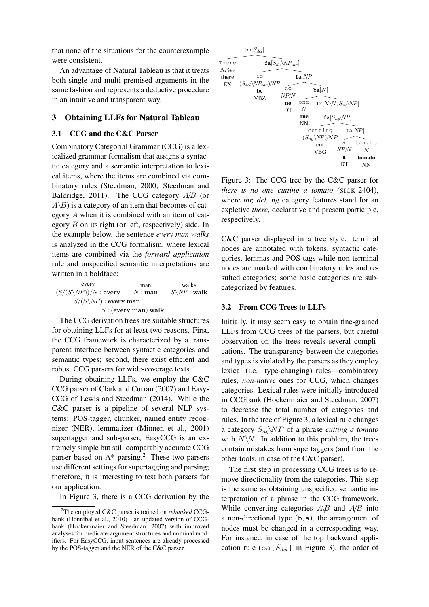that none of the situations for the counterexample were consistent.

An advantage of Natural Tableau is that it treats both single and multi-premised arguments in the same fashion and represents a deductive procedure in an intuitive and transparent way.

## 3 Obtaining LLFs for Natural Tableau

#### 3.1 CCG and the C&C Parser

Combinatory Categorial Grammar (CCG) is a lexicalized grammar formalism that assigns a syntactic category and a semantic interpretation to lexical items, where the items are combined via combinatory rules (Steedman, 2000; Steedman and Baldridge, 2011). The CCG category  $A/B$  (or  $A\$  B) is a category of an item that becomes of category A when it is combined with an item of category B on its right (or left, respectively) side. In the example below, the sentence *every man walks* is analyzed in the CCG formalism, where lexical items are combined via the *forward application* rule and unspecified semantic interpretations are written in a boldface:

| every                            | man      | walks                   |  |
|----------------------------------|----------|-------------------------|--|
| $(S/(S\backslash NP))/N$ : every | $N:$ man | $S\backslash NP$ : walk |  |
| $S/(S\backslash NP)$ : every man |          |                         |  |
| $S$ : (every man) walk           |          |                         |  |

The CCG derivation trees are suitable structures for obtaining LLFs for at least two reasons. First, the CCG framework is characterized by a transparent interface between syntactic categories and semantic types; second, there exist efficient and robust CCG parsers for wide-coverage texts.

During obtaining LLFs, we employ the C&C CCG parser of Clark and Curran (2007) and Easy-CCG of Lewis and Steedman (2014). While the C&C parser is a pipeline of several NLP systems: POS-tagger, chunker, named entity recognizer (NER), lemmatizer (Minnen et al., 2001) supertagger and sub-parser, EasyCCG is an extremely simple but still comparably accurate CCG parser based on  $A^*$  parsing.<sup>2</sup> These two parsers use different settings for supertagging and parsing; therefore, it is interesting to test both parsers for our application.

In Figure 3, there is a CCG derivation by the



Figure 3: The CCG tree by the C&C parser for *there is no one cutting a tomato* (SICK-2404), where *thr, dcl, ng* category features stand for an expletive *there*, declarative and present participle, respectively.

C&C parser displayed in a tree style: terminal nodes are annotated with tokens, syntactic categories, lemmas and POS-tags while non-terminal nodes are marked with combinatory rules and resulted categories; some basic categories are subcategorized by features.

#### 3.2 From CCG Trees to LLFs

Initially, it may seem easy to obtain fine-grained LLFs from CCG trees of the parsers, but careful observation on the trees reveals several complications. The transparency between the categories and types is violated by the parsers as they employ lexical (i.e. type-changing) rules—combinatory rules, *non-native* ones for CCG, which changes categories. Lexical rules were initially introduced in CCGbank (Hockenmaier and Steedman, 2007) to decrease the total number of categories and rules. In the tree of Figure 3, a lexical rule changes a category Sng\NP of a phrase *cutting a tomato* with  $N\backslash N$ . In addition to this problem, the trees contain mistakes from supertaggers (and from the other tools, in case of the C&C parser).

The first step in processing CCG trees is to remove directionality from the categories. This step is the same as obtaining unspecified semantic interpretation of a phrase in the CCG framework. While converting categories  $A\&B$  and  $A/B$  into a non-directional type (b, a), the arrangement of nodes must be changed in a corresponding way. For instance, in case of the top backward application rule (ba[ $S_{dcl}$ ] in Figure 3), the order of

<sup>2</sup>The employed C&C parser is trained on *rebanked* CCGbank (Honnibal et al., 2010)—an updated version of CCGbank (Hockenmaier and Steedman, 2007) with improved analyses for predicate-argument structures and nominal modifiers. For EasyCCG, input sentences are already processed by the POS-tagger and the NER of the C&C parser.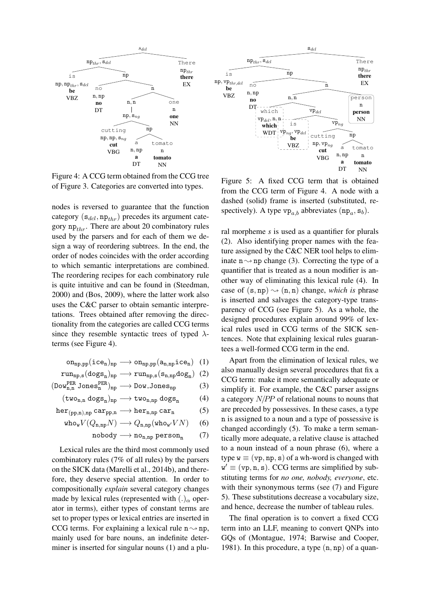

Figure 4: A CCG term obtained from the CCG tree of Figure 3. Categories are converted into types.

nodes is reversed to guarantee that the function category  $(s_{dcl}, np_{thr})$  precedes its argument category  $np_{thr}$ . There are about 20 combinatory rules used by the parsers and for each of them we design a way of reordering subtrees. In the end, the order of nodes coincides with the order according to which semantic interpretations are combined. The reordering recipes for each combinatory rule is quite intuitive and can be found in (Steedman, 2000) and (Bos, 2009), where the latter work also uses the C&C parser to obtain semantic interpretations. Trees obtained after removing the directionality from the categories are called CCG terms since they resemble syntactic trees of typed  $\lambda$ terms (see Figure 4).

$$
\texttt{on}_{\texttt{np},\texttt{pp}}(\texttt{ice}_n)_{\texttt{np}} \longrightarrow \texttt{on}_{\texttt{np},\texttt{pp}}(\texttt{a}_{n,\texttt{np}}\texttt{ice}_n) \quad (1)
$$

$$
run_{np,s}(dogs_n)_{np} \longrightarrow run_{np,s}(s_{n,np}dog_n) (2)
$$

$$
(\mathtt{Down}^{\mathtt{PER}}_{n,n} \mathtt{Jones}^{\mathtt{PER}}_{n})_{np} \longrightarrow \mathtt{Down\_Jones}_{np} \hspace{1cm} (3)
$$

$$
(\mathtt{two}_{n,n} \ \mathtt{dots}_{n})_{np} \longrightarrow \mathtt{two}_{n,np} \ \mathtt{does}_{n} \qquad (4)
$$

$$
\textup{her}_{(pp,n),np} \, \textup{car}_{pp,n} \longrightarrow \textup{her}_{n,np} \, \textup{car}_n \tag{5}
$$

$$
\text{who}_W V(Q_{n,np} N) \longrightarrow Q_{n,np}(\text{who}_{w'} VN) \quad (6)
$$

$$
\mathtt{nobody} \longrightarrow \mathtt{no_{n,np}} \ \mathtt{person_n} \qquad (7)
$$

Lexical rules are the third most commonly used combinatory rules (7% of all rules) by the parsers on the SICK data (Marelli et al., 2014b), and therefore, they deserve special attention. In order to compositionally *explain* several category changes made by lexical rules (represented with  $(.)_{\alpha}$  operator in terms), either types of constant terms are set to proper types or lexical entries are inserted in CCG terms. For explaining a lexical rule  $n \rightarrow np$ , mainly used for bare nouns, an indefinite determiner is inserted for singular nouns (1) and a plu-



Figure 5: A fixed CCG term that is obtained from the CCG term of Figure 4. A node with a dashed (solid) frame is inserted (substituted, respectively). A type  $vp_{a,b}$  abbreviates  $(np_a, s_b)$ .

ral morpheme *s* is used as a quantifier for plurals (2). Also identifying proper names with the feature assigned by the C&C NER tool helps to eliminate  $n \rightarrow np$  change (3). Correcting the type of a quantifier that is treated as a noun modifier is another way of eliminating this lexical rule (4). In case of  $(s, np) \rightarrow (n, n)$  change, *which is* phrase is inserted and salvages the category-type transparency of CCG (see Figure 5). As a whole, the designed procedures explain around 99% of lexical rules used in CCG terms of the SICK sentences. Note that explaining lexical rules guarantees a well-formed CCG term in the end.

Apart from the elimination of lexical rules, we also manually design several procedures that fix a CCG term: make it more semantically adequate or simplify it. For example, the C&C parser assigns a category N/PP of relational nouns to nouns that are preceded by possessives. In these cases, a type n is assigned to a noun and a type of possessive is changed accordingly (5). To make a term semantically more adequate, a relative clause is attached to a noun instead of a noun phrase (6), where a type  $w \equiv (vp, np, s)$  of a wh-word is changed with  $w' \equiv (vp, n, s)$ . CCG terms are simplified by substituting terms for *no one, nobody, everyone*, etc. with their synonymous terms (see (7) and Figure 5). These substitutions decrease a vocabulary size, and hence, decrease the number of tableau rules.

The final operation is to convert a fixed CCG term into an LLF, meaning to convert QNPs into GQs of (Montague, 1974; Barwise and Cooper, 1981). In this procedure, a type  $(n, np)$  of a quan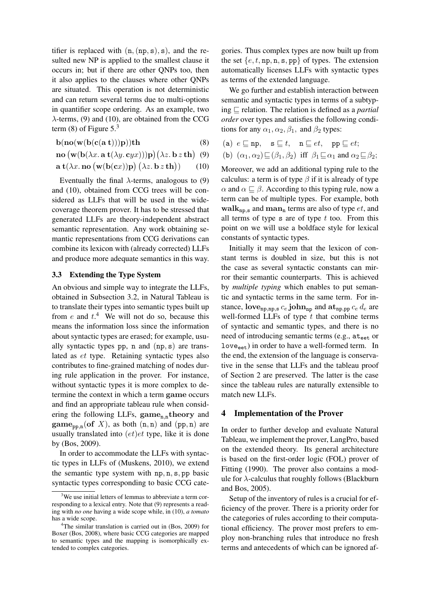tifier is replaced with  $(n,(np,s), s)$ , and the resulted new NP is applied to the smallest clause it occurs in; but if there are other QNPs too, then it also applies to the clauses where other QNPs are situated. This operation is not deterministic and can return several terms due to multi-options in quantifier scope ordering. As an example, two  $\lambda$ -terms, (9) and (10), are obtained from the CCG term  $(8)$  of Figure 5.<sup>3</sup>

$$
\mathbf{b}(\mathbf{no}(w(\mathbf{b}(\mathbf{c}(\mathbf{a} \ t))))\mathbf{p})\mathbf{th} \tag{8}
$$

$$
\mathbf{no}\left(\mathbf{w}(\mathbf{b}(\lambda x.\ \mathbf{a}\ \mathbf{t}(\lambda y.\ \mathbf{c}yx)))\mathbf{p}\right)(\lambda z.\ \mathbf{b}\ z\ \mathbf{th})\tag{9}
$$

$$
\mathbf{a} \mathbf{t}(\lambda x. \mathbf{no} \left(\mathbf{w}(\mathbf{b}(\mathbf{c}x))\mathbf{p}\right) (\lambda z. \mathbf{b} z \mathbf{th})) \qquad (10)
$$

Eventually the final  $\lambda$ -terms, analogous to (9) and (10), obtained from CCG trees will be considered as LLFs that will be used in the widecoverage theorem prover. It has to be stressed that generated LLFs are theory-independent abstract semantic representation. Any work obtaining semantic representations from CCG derivations can combine its lexicon with (already corrected) LLFs and produce more adequate semantics in this way.

#### 3.3 Extending the Type System

An obvious and simple way to integrate the LLFs, obtained in Subsection 3.2, in Natural Tableau is to translate their types into semantic types built up from  $e$  and  $t^4$ . We will not do so, because this means the information loss since the information about syntactic types are erased; for example, usually syntactic types pp, n and (np, s) are translated as et type. Retaining syntactic types also contributes to fine-grained matching of nodes during rule application in the prover. For instance, without syntactic types it is more complex to determine the context in which a term game occurs and find an appropriate tableau rule when considering the following LLFs,  $\text{game}_{n,n}$ theory and  $\text{game}_{\text{pp,n}}(\text{of } X)$ , as both  $(n,n)$  and  $(\text{pp,n})$  are usually translated into  $(et)et$  type, like it is done by (Bos, 2009).

In order to accommodate the LLFs with syntactic types in LLFs of (Muskens, 2010), we extend the semantic type system with np, n, s, pp basic syntactic types corresponding to basic CCG cate-

gories. Thus complex types are now built up from the set  $\{e, t, np, n, s, pp\}$  of types. The extension automatically licenses LLFs with syntactic types as terms of the extended language.

We go further and establish interaction between semantic and syntactic types in terms of a subtyping  $\sqsubseteq$  relation. The relation is defined as a *partial order* over types and satisfies the following conditions for any  $\alpha_1, \alpha_2, \beta_1$ , and  $\beta_2$  types:

(a)  $e \sqsubseteq np$ ,  $s \sqsubseteq t$ ,  $n \sqsubseteq et$ ,  $pp \sqsubseteq et$ ; (b)  $(\alpha_1, \alpha_2) \sqsubseteq (\beta_1, \beta_2)$  iff  $\beta_1 \sqsubseteq \alpha_1$  and  $\alpha_2 \sqsubseteq \beta_2$ ;

Moreover, we add an additional typing rule to the calculus: a term is of type  $\beta$  if it is already of type  $\alpha$  and  $\alpha \sqsubseteq \beta$ . According to this typing rule, now a term can be of multiple types. For example, both walk<sub>np,s</sub> and man<sub>n</sub> terms are also of type *et*, and all terms of type  $s$  are of type  $t$  too. From this point on we will use a boldface style for lexical constants of syntactic types.

Initially it may seem that the lexicon of constant terms is doubled in size, but this is not the case as several syntactic constants can mirror their semantic counterparts. This is achieved by *multiple typing* which enables to put semantic and syntactic terms in the same term. For instance,  $\mathbf{love}_{\text{np,np,s}} c_e \mathbf{john}_{\text{np}}$  and  $\mathbf{at}_{\text{np,pp}} c_e d_e$  are well-formed LLFs of type  $t$  that combine terms of syntactic and semantic types, and there is no need of introducing semantic terms (e.g., ateet or  $love_{\text{eet}}$ ) in order to have a well-formed term. In the end, the extension of the language is conservative in the sense that LLFs and the tableau proof of Section 2 are preserved. The latter is the case since the tableau rules are naturally extensible to match new LLFs.

## 4 Implementation of the Prover

In order to further develop and evaluate Natural Tableau, we implement the prover, LangPro, based on the extended theory. Its general architecture is based on the first-order logic (FOL) prover of Fitting (1990). The prover also contains a module for  $\lambda$ -calculus that roughly follows (Blackburn and Bos, 2005).

Setup of the inventory of rules is a crucial for efficiency of the prover. There is a priority order for the categories of rules according to their computational efficiency. The prover most prefers to employ non-branching rules that introduce no fresh terms and antecedents of which can be ignored af-

<sup>&</sup>lt;sup>3</sup>We use initial letters of lemmas to abbreviate a term corresponding to a lexical entry. Note that (9) represents a reading with *no one* having a wide scope while, in (10), *a tomato* has a wide scope.

<sup>&</sup>lt;sup>4</sup>The similar translation is carried out in (Bos, 2009) for Boxer (Bos, 2008), where basic CCG categories are mapped to semantic types and the mapping is isomorphically extended to complex categories.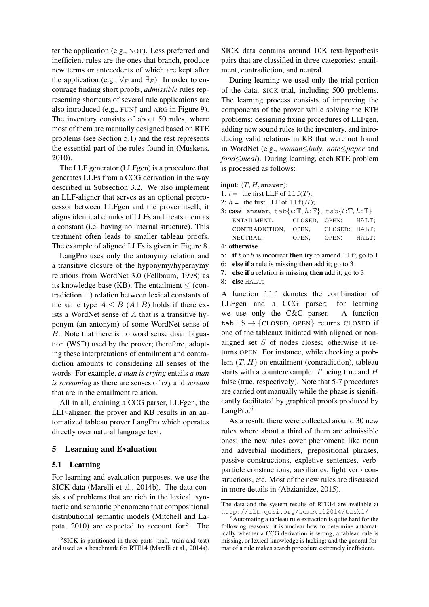ter the application (e.g., NOT). Less preferred and inefficient rules are the ones that branch, produce new terms or antecedents of which are kept after the application (e.g.,  $\forall_F$  and  $\exists_F$ ). In order to encourage finding short proofs, *admissible* rules representing shortcuts of several rule applications are also introduced (e.g., FUN↑ and ARG in Figure 9). The inventory consists of about 50 rules, where most of them are manually designed based on RTE problems (see Section 5.1) and the rest represents the essential part of the rules found in (Muskens, 2010).

The LLF generator (LLFgen) is a procedure that generates LLFs from a CCG derivation in the way described in Subsection 3.2. We also implement an LLF-aligner that serves as an optional preprocessor between LLFgen and the prover itself; it aligns identical chunks of LLFs and treats them as a constant (i.e. having no internal structure). This treatment often leads to smaller tableau proofs. The example of aligned LLFs is given in Figure 8.

LangPro uses only the antonymy relation and a transitive closure of the hyponymy/hypernymy relations from WordNet 3.0 (Fellbaum, 1998) as its knowledge base (KB). The entailment  $\le$  (contradiction ⊥) relation between lexical constants of the same type  $A \leq B(A \perp B)$  holds if there exists a WordNet sense of A that is a transitive hyponym (an antonym) of some WordNet sense of B. Note that there is no word sense disambiguation (WSD) used by the prover; therefore, adopting these interpretations of entailment and contradiction amounts to considering all senses of the words. For example, *a man is crying* entails *a man is screaming* as there are senses of *cry* and *scream* that are in the entailment relation.

All in all, chaining a CCG parser, LLFgen, the LLF-aligner, the prover and KB results in an automatized tableau prover LangPro which operates directly over natural language text.

#### 5 Learning and Evaluation

#### 5.1 Learning

For learning and evaluation purposes, we use the SICK data (Marelli et al., 2014b). The data consists of problems that are rich in the lexical, syntactic and semantic phenomena that compositional distributional semantic models (Mitchell and Lapata, 2010) are expected to account for.<sup>5</sup> The SICK data contains around 10K text-hypothesis pairs that are classified in three categories: entailment, contradiction, and neutral.

During learning we used only the trial portion of the data, SICK-trial, including 500 problems. The learning process consists of improving the components of the prover while solving the RTE problems: designing fixing procedures of LLFgen, adding new sound rules to the inventory, and introducing valid relations in KB that were not found in WordNet (e.g., *woman*≤*lady*, *note*≤*paper* and *food*≤*meal*). During learning, each RTE problem is processed as follows:

input:  $(T, H, \text{answer});$ 

- 1:  $t =$  the first LLF of  $llf(T)$ ;
- 2:  $h =$  the first LLF of  $\text{llf}(H)$ ;
- 3: case answer,  $\tanh\{t:\mathbb{T}, h:\mathbb{F}\}$ ,  $\tanh\{t:\mathbb{T}, h:\mathbb{T}\}$ ENTAILMENT, CLOSED, OPEN: HALT; CONTRADICTION, OPEN, CLOSED: HALT; NEUTRAL, OPEN, OPEN: HALT; 4: otherwise
- 5: if t or h is incorrect then try to amend  $\text{llf}$ ; go to 1
- 6: else if a rule is missing then add it; go to 3
- 7: else if a relation is missing then add it; go to 3
- 8: else HALT;

A function llf denotes the combination of LLFgen and a CCG parser; for learning we use only the C&C parser. A function tab :  $S \rightarrow \{CLOSED, OPEN\}$  returns CLOSED if one of the tableaux initiated with aligned or nonaligned set S of nodes closes; otherwise it returns OPEN. For instance, while checking a problem  $(T, H)$  on entailment (contradiction), tableau starts with a counterexample: T being true and H false (true, respectively). Note that 5-7 procedures are carried out manually while the phase is significantly facilitated by graphical proofs produced by LangPro.<sup>6</sup>

As a result, there were collected around 30 new rules where about a third of them are admissible ones; the new rules cover phenomena like noun and adverbial modifiers, prepositional phrases, passive constructions, expletive sentences, verbparticle constructions, auxiliaries, light verb constructions, etc. Most of the new rules are discussed in more details in (Abzianidze, 2015).

<sup>&</sup>lt;sup>5</sup>SICK is partitioned in three parts (trail, train and test) and used as a benchmark for RTE14 (Marelli et al., 2014a).

The data and the system results of RTE14 are available at http://alt.qcri.org/semeval2014/task1/

 $6$ Automating a tableau rule extraction is quite hard for the following reasons: it is unclear how to determine automatically whether a CCG derivation is wrong, a tableau rule is missing, or lexical knowledge is lacking; and the general format of a rule makes search procedure extremely inefficient.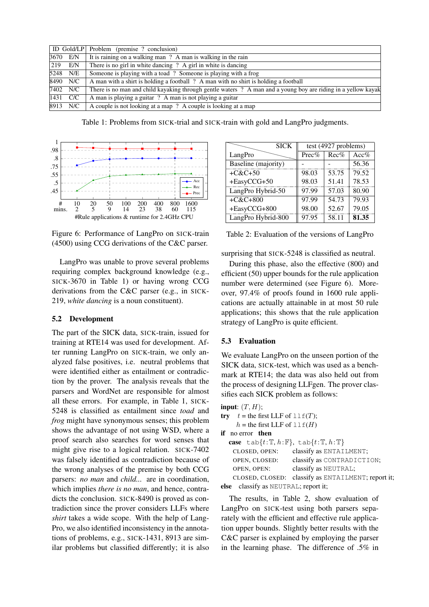|     |                   | ID Gold/LP Problem (premise ? conclusion)                                                                     |
|-----|-------------------|---------------------------------------------------------------------------------------------------------------|
|     | 3670 E/N          | It is raining on a walking man? A man is walking in the rain                                                  |
| 219 | E/N               | There is no girl in white dancing ? A girl in white is dancing                                                |
|     | 5248 N/E          | Someone is playing with a toad? Someone is playing with a frog                                                |
|     | 8490 N/C          | A man with a shirt is holding a football ? A man with no shirt is holding a football                          |
|     | 7402 N/C          | There is no man and child kayaking through gentle waters ? A man and a young boy are riding in a yellow kayak |
|     | $ 1431 \quad C/C$ | A man is playing a guitar? A man is not playing a guitar                                                      |
|     | 8913 N/C          | A couple is not looking at a map? A couple is looking at a map                                                |

Table 1: Problems from SICK-trial and SICK-train with gold and LangPro judgments.



Figure 6: Performance of LangPro on SICK-train (4500) using CCG derivations of the C&C parser.

LangPro was unable to prove several problems requiring complex background knowledge (e.g., SICK-3670 in Table 1) or having wrong CCG derivations from the C&C parser (e.g., in SICK-219, *white dancing* is a noun constituent).

#### 5.2 Development

The part of the SICK data, SICK-train, issued for training at RTE14 was used for development. After running LangPro on SICK-train, we only analyzed false positives, i.e. neutral problems that were identified either as entailment or contradiction by the prover. The analysis reveals that the parsers and WordNet are responsible for almost all these errors. For example, in Table 1, SICK-5248 is classified as entailment since *toad* and *frog* might have synonymous senses; this problem shows the advantage of not using WSD, where a proof search also searches for word senses that might give rise to a logical relation. SICK-7402 was falsely identified as contradiction because of the wrong analyses of the premise by both CCG parsers: *no man* and *child...* are in coordination, which implies *there is no man*, and hence, contradicts the conclusion. SICK-8490 is proved as contradiction since the prover considers LLFs where *shirt* takes a wide scope. With the help of Lang-Pro, we also identified inconsistency in the annotations of problems, e.g., SICK-1431, 8913 are similar problems but classified differently; it is also

|                     | <b>SICK</b> | test (4927 problems) |         |       |
|---------------------|-------------|----------------------|---------|-------|
| LangPro             |             | Prec%                | $Rec\%$ | Acc%  |
| Baseline (majority) |             |                      |         | 56.36 |
| $+C&C+50$           |             | 98.03                | 53.75   | 79.52 |
| +EasyCCG+50         |             | 98.03                | 51.41   | 78.53 |
| LangPro Hybrid-50   |             | 97.99                | 57.03   | 80.90 |
| $+ C & C + 800$     |             | 97.99                | 54.73   | 79.93 |
| +EasyCCG+800        |             | 98.00                | 52.67   | 79.05 |
| LangPro Hybrid-800  |             | 97.95                | 58.11   | 81.35 |

Table 2: Evaluation of the versions of LangPro

surprising that SICK-5248 is classified as neutral.

During this phase, also the effective (800) and efficient (50) upper bounds for the rule application number were determined (see Figure 6). Moreover, 97.4% of proofs found in 1600 rule applications are actually attainable in at most 50 rule applications; this shows that the rule application strategy of LangPro is quite efficient.

#### 5.3 Evaluation

We evaluate LangPro on the unseen portion of the SICK data, SICK-test, which was used as a benchmark at RTE14; the data was also held out from the process of designing LLFgen. The prover classifies each SICK problem as follows:

```
input: (T, H);
```

| try $t =$ the first LLF of $l \, l \, f(T)$ ; |                                                                               |
|-----------------------------------------------|-------------------------------------------------------------------------------|
| $h =$ the first LLF of $l \perp f(H)$         |                                                                               |
| <b>if</b> no error <b>then</b>                |                                                                               |
|                                               | case tab{ $t:\mathbb{T}, h:\mathbb{F}$ }, tab{ $t:\mathbb{T}, h:\mathbb{T}$ } |
| CLOSED, OPEN:                                 | classify as ENTAILMENT;                                                       |
| OPEN, CLOSED:                                 | classify as CONTRADICTION;                                                    |
| OPEN, OPEN:                                   | classify as NEUTRAL;                                                          |
| CLOSED, CLOSED:                               | classify as ENTAILMENT; report it;                                            |
| else classify as NEUTRAL; report it;          |                                                                               |
|                                               |                                                                               |

The results, in Table 2, show evaluation of LangPro on SICK-test using both parsers separately with the efficient and effective rule application upper bounds. Slightly better results with the C&C parser is explained by employing the parser in the learning phase. The difference of .5% in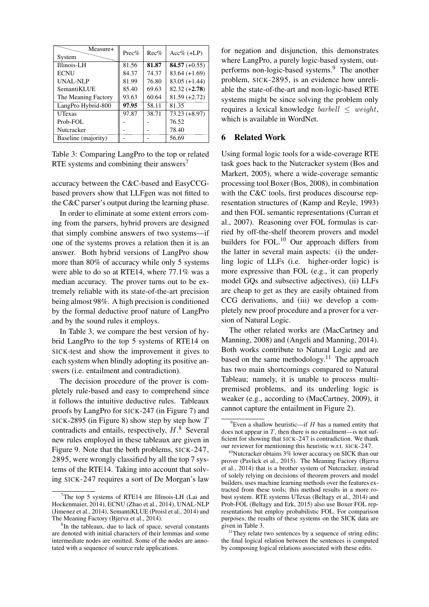| Measure+<br>System  | $Prec\%$ | $Rec\%$ | $Acc\%$ (+LP)   |
|---------------------|----------|---------|-----------------|
| Illinois-LH         | 81.56    | 81.87   | $84.57 (+0.55)$ |
| <b>ECNU</b>         | 84.37    | 74.37   | $83.64 (+1.69)$ |
| UNAL-NLP            | 81.99    | 76.80   | $83.05 (+1.44)$ |
| SemantiKLUE         | 85.40    | 69.63   | $82.32 (+2.78)$ |
| The Meaning Factory | 93.63    | 60.64   | $81.59 (+2.72)$ |
| LangPro Hybrid-800  | 97.95    | 58.11   | 81.35           |
| <b>UTexas</b>       | 97.87    | 38.71   | $73.23 (+8.97)$ |
| Prob-FOL            |          |         | 76.52           |
| Nutcracker          |          |         | 78.40           |
| Baseline (majority) |          |         | 56.69           |

Table 3: Comparing LangPro to the top or related RTE systems and combining their answers<sup>7</sup>

accuracy between the C&C-based and EasyCCGbased provers show that LLFgen was not fitted to the C&C parser's output during the learning phase.

In order to eliminate at some extent errors coming from the parsers, hybrid provers are designed that simply combine answers of two systems—if one of the systems proves a relation then it is an answer. Both hybrid versions of LangPro show more than 80% of accuracy while only 5 systems were able to do so at RTE14, where 77.1% was a median accuracy. The prover turns out to be extremely reliable with its state-of-the-art precision being almost 98%. A high precision is conditioned by the formal deductive proof nature of LangPro and by the sound rules it employs.

In Table 3, we compare the best version of hybrid LangPro to the top 5 systems of RTE14 on SICK-test and show the improvement it gives to each system when blindly adopting its positive answers (i.e. entailment and contradiction).

The decision procedure of the prover is completely rule-based and easy to comprehend since it follows the intuitive deductive rules. Tableaux proofs by LangPro for SICK-247 (in Figure 7) and SICK-2895 (in Figure 8) show step by step how  $T$ contradicts and entails, respectively,  $H$ .<sup>8</sup> Several new rules employed in these tableaux are given in Figure 9. Note that the both problems, SICK-247, 2895, were wrongly classified by all the top 7 systems of the RTE14. Taking into account that solving SICK-247 requires a sort of De Morgan's law

for negation and disjunction, this demonstrates where LangPro, a purely logic-based system, outperforms non-logic-based systems.<sup>9</sup> The another problem, SICK-2895, is an evidence how unreliable the state-of-the-art and non-logic-based RTE systems might be since solving the problem only requires a lexical knowledge *barbell*  $\leq$  *weight,* which is available in WordNet.

## 6 Related Work

Using formal logic tools for a wide-coverage RTE task goes back to the Nutcracker system (Bos and Markert, 2005), where a wide-coverage semantic processing tool Boxer (Bos, 2008), in combination with the C&C tools, first produces discourse representation structures of (Kamp and Reyle, 1993) and then FOL semantic representations (Curran et al., 2007). Reasoning over FOL formulas is carried by off-the-shelf theorem provers and model builders for FOL.<sup>10</sup> Our approach differs from the latter in several main aspects: (i) the underling logic of LLFs (i.e. higher-order logic) is more expressive than FOL (e.g., it can properly model GQs and subsective adjectives), (ii) LLFs are cheap to get as they are easily obtained from CCG derivations, and (iii) we develop a completely new proof procedure and a prover for a version of Natural Logic.

The other related works are (MacCartney and Manning, 2008) and (Angeli and Manning, 2014). Both works contribute to Natural Logic and are based on the same methodology.<sup>11</sup> The approach has two main shortcomings compared to Natural Tableau; namely, it is unable to process multipremised problems, and its underling logic is weaker (e.g., according to (MacCartney, 2009), it cannot capture the entailment in Figure 2).

 $7$ The top 5 systems of RTE14 are Illinois-LH (Lai and Hockenmaier, 2014), ECNU (Zhao et al., 2014), UNAL-NLP (Jimenez et al., 2014), SemantiKLUE (Proisl et al., 2014) and The Meaning Factory (Bjerva et al., 2014).

<sup>&</sup>lt;sup>8</sup>In the tableaux, due to lack of space, several constants are denoted with initial characters of their lemmas and some intermediate nodes are omitted. Some of the nodes are annotated with a sequence of source rule applications.

 $^{9}$ Even a shallow heuristic—if H has a named entity that does not appear in  $T$ , then there is no entailment—is not sufficient for showing that SICK-247 is contradiction. We thank our reviewer for mentioning this heuristic w.r.t. SICK-247.

 $10$ Nutcracker obtains 3% lower accuracy on SICK than our prover (Pavlick et al., 2015). The Meaning Factory (Bjerva et al., 2014) that is a brother system of Nutcracker, instead of solely relying on decisions of theorem provers and model builders, uses machine learning methods over the features extracted from these tools; this method results in a more robust system. RTE systems UTexas (Beltagy et al., 2014) and Prob-FOL (Beltagy and Erk, 2015) also use Boxer FOL representations but employ probabilistic FOL. For comparison purposes, the results of these systems on the SICK data are given in Table 3.

<sup>&</sup>lt;sup>11</sup>They relate two sentences by a sequence of string edits; the final logical relation between the sentences is computed by composing logical relations associated with these edits.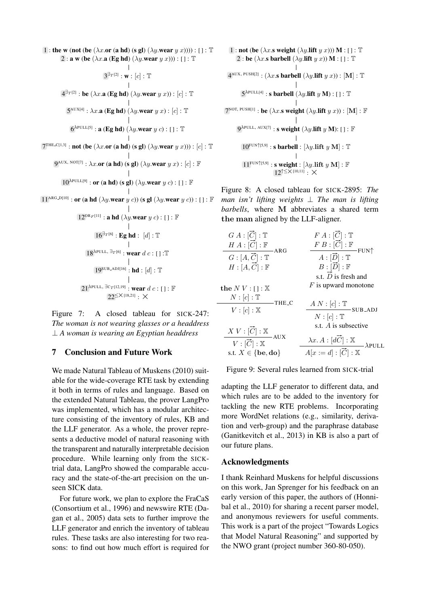1 : the w (not (be  $(\lambda x.\text{or (a hd)} (s gl) (\lambda y.\text{wear } y x))))$ ) : [] : T 2 : a w (be  $(\lambda x.a \times Bghd) (\lambda y.wear y x))$ ) : [] : T  $\mathbb{R}^n$  $3^{\exists_{T^{[2]}}}: \mathbf{w}: [c]: \mathbb{T}$  $4^{\exists T^{[2]}}:$  be  $(\lambda x.$ a (Eg hd)  $(\lambda y.$ wear  $y\ x)):$   $[c]: \mathbb{T}$  $5^{\text{AUX[4]}}: \lambda x.$ a (Eg hd)  $(\lambda y.$ wear  $y\ x)$ : [c] : T  $6^{\text{APULL}[5]}$ : a (Eg hd) ( $\lambda y$ .wear  $y$  c): []: T  $7^{\text{THE\_C[1,3]}}:$  not (be  $(\lambda x.\text{or (a hd) (s gl) } (\lambda y.\text{wear } y x))) : [c] : \mathbb{T}$ 9<sup>AUX, ΝΟΤ[7]</sup> :  $\lambda x.$ **or** (**a hd**) (**s gl**)  $(\lambda y.$ **wear**  $y x$ ) : [ $c$ ] :  $\mathbb{F}$  $10^{\lambda$ PULL[9] : or (a hd) (s gl) (λy.wear y c) : [] : **F**  $11^{\text{ARG\_D[10]}}$  : or (a hd  $(\lambda y.\text{wear }y~c))$  (s gl  $(\lambda y.\text{wear }y~c))$  : [ ] :  ${\mathbb F}$  $12^{\text{OR}_F[11]}$  : a hd  $(\lambda y$ .wear  $y$  c) : [] :  $\mathbb F$  $16^{\exists_T[6]}$ : Eg hd :  $[d]$ : T  $\Box$  $18^{\lambda$ PULL, ∃<sub>T</sub>[6] : **wear** d c : [ ] :**T**  $19^{\text{SUB}\text{-}\text{ADI}[16]}$  :  $\text{hd}$  :  $[d]$  :  $\mathbb{T}$ 

 $21^{\text{APULL}}$ ,  $\exists c_T$ [12,19] : wear  $d$   $c$  : [] :  $\mathbb F$  $22^{\leq X[18,21]}$  :  $\times$ 

Figure 7: A closed tableau for SICK-247: *The woman is not wearing glasses or a headdress* ⊥ *A woman is wearing an Egyptian headdress*

## 7 Conclusion and Future Work

We made Natural Tableau of Muskens (2010) suitable for the wide-coverage RTE task by extending it both in terms of rules and language. Based on the extended Natural Tableau, the prover LangPro was implemented, which has a modular architecture consisting of the inventory of rules, KB and the LLF generator. As a whole, the prover represents a deductive model of natural reasoning with the transparent and naturally interpretable decision procedure. While learning only from the SICKtrial data, LangPro showed the comparable accuracy and the state-of-the-art precision on the unseen SICK data.

For future work, we plan to explore the FraCaS (Consortium et al., 1996) and newswire RTE (Dagan et al., 2005) data sets to further improve the LLF generator and enrich the inventory of tableau rules. These tasks are also interesting for two reasons: to find out how much effort is required for

1 : not (be  $(\lambda x. s$  weight  $(\lambda y.$ lift  $y(x))$ ) M : [] : T 2 : be  $(\lambda x.\textbf{s}$  barbell  $(\lambda y.\textbf{lift} y x)) \textbf{M} :$  [ ] : T  $\overline{\phantom{a}}$  $4^{AUX, PUSH[2]} : (\lambda x.$ s barbell  $(\lambda y.$ lift  $y x)) : [M] : T$  $5^{\lambda \text{PULL}[4]}$ : s barbell  $(\lambda y$ .lift  $y \mathbf{M})$ : []: T  $7^{\text{NOT, PUSH[1]}}:$  be  $(\lambda x.$ s weight  $(\lambda y.$ lift  $y x))$ :  $[\mathbf{M}]: \mathbb{F}$  $9^{\lambda$ PULL, AUX[7] : **s weight**  $(\lambda y$ **. lift**  $y$  **M**): [] : **F**  $10^{\text{FUN} \uparrow [5,9]}$  : **s barbell** :  $[\lambda y$ **.lift**  $y \mathbf{M}]$  :  $\mathbb{T}$  $\overline{11}^{\mathrm{FUN} \uparrow \mathrm{[5,9]}}$  : s weight :  $[\lambda y.\text{lift } y \text{ M}]$  :  $\mathbb F$  $12$ <sup>↑≤ $\times$ [10,11]</sup>  $\cdot x$ 

Figure 8: A closed tableau for SICK-2895: *The man isn't lifting weights* ⊥ *The man is lifting barbells*, where M abbreviates a shared term

| the man aligned by the LLF-aligner.              |                                                                        |  |
|--------------------------------------------------|------------------------------------------------------------------------|--|
| $G A : [\overline{C}] : \mathbb{T}$              | $F A : [\vec{C}] : \mathbb{T}$                                         |  |
| $H A : [\overrightarrow{C}] : \mathbb{F}$<br>ARG | $F B : [\overrightarrow{C}] : \mathbb{F}$<br>$-$ FUN $\uparrow$        |  |
| $G:[A,\overrightarrow{C}]:{\mathbb T}$           | $\overline{A:[\vec{D}]:\mathbb{T}}$                                    |  |
| $H:[A,\overrightarrow{C}]:\mathbb{F}$            | $B:[\vec{D}]:\mathbb{F}$                                               |  |
|                                                  | s.t. $\overrightarrow{D}$ is fresh and                                 |  |
| the $N V : \square : \mathbb{X}$                 | $F$ is upward monotone                                                 |  |
| $N:[c]:\mathbb{T}$<br>THE C                      |                                                                        |  |
| $V:[c]:\mathbb{X}$                               | $A\underbrace{N:[c]:\mathbb{T}}_\text{SUB\_ADJ}$<br>$N:[c]:\mathbb{T}$ |  |
|                                                  | s.t. A is subsective                                                   |  |
| $X V : [\overrightarrow{C}] : X$<br>AUX          |                                                                        |  |
| $V:[\overrightarrow{C}]:\mathbb{X}$              | $\lambda x. A : [d\overrightarrow{C}] : \mathbb{X}$                    |  |
| s.t. $X \in \{be, do\}$                          | $A[x := d] : [\overrightarrow{C}] : \overline{\mathbb{X}}$             |  |
|                                                  |                                                                        |  |

Figure 9: Several rules learned from SICK-trial

adapting the LLF generator to different data, and which rules are to be added to the inventory for tackling the new RTE problems. Incorporating more WordNet relations (e.g., similarity, derivation and verb-group) and the paraphrase database (Ganitkevitch et al., 2013) in KB is also a part of our future plans.

## Acknowledgments

I thank Reinhard Muskens for helpful discussions on this work, Jan Sprenger for his feedback on an early version of this paper, the authors of (Honnibal et al., 2010) for sharing a recent parser model, and anonymous reviewers for useful comments. This work is a part of the project "Towards Logics that Model Natural Reasoning" and supported by the NWO grant (project number 360-80-050).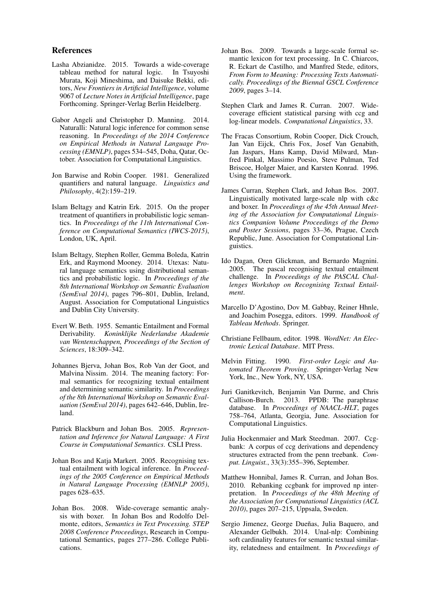#### References

- Lasha Abzianidze. 2015. Towards a wide-coverage tableau method for natural logic. In Tsuyoshi Murata, Koji Mineshima, and Daisuke Bekki, editors, *New Frontiers in Artificial Intelligence*, volume 9067 of *Lecture Notes in Artificial Intelligence*, page Forthcoming. Springer-Verlag Berlin Heidelberg.
- Gabor Angeli and Christopher D. Manning. 2014. Naturalli: Natural logic inference for common sense reasoning. In *Proceedings of the 2014 Conference on Empirical Methods in Natural Language Processing (EMNLP)*, pages 534–545, Doha, Qatar, October. Association for Computational Linguistics.
- Jon Barwise and Robin Cooper. 1981. Generalized quantifiers and natural language. *Linguistics and Philosophy*, 4(2):159–219.
- Islam Beltagy and Katrin Erk. 2015. On the proper treatment of quantifiers in probabilistic logic semantics. In *Proceedings of the 11th International Conference on Computational Semantics (IWCS-2015)*, London, UK, April.
- Islam Beltagy, Stephen Roller, Gemma Boleda, Katrin Erk, and Raymond Mooney. 2014. Utexas: Natural language semantics using distributional semantics and probabilistic logic. In *Proceedings of the 8th International Workshop on Semantic Evaluation (SemEval 2014)*, pages 796–801, Dublin, Ireland, August. Association for Computational Linguistics and Dublin City University.
- Evert W. Beth. 1955. Semantic Entailment and Formal Derivability. *Koninklijke Nederlandse Akademie van Wentenschappen, Proceedings of the Section of Sciences*, 18:309–342.
- Johannes Bjerva, Johan Bos, Rob Van der Goot, and Malvina Nissim. 2014. The meaning factory: Formal semantics for recognizing textual entailment and determining semantic similarity. In *Proceedings of the 8th International Workshop on Semantic Evaluation (SemEval 2014)*, pages 642–646, Dublin, Ireland.
- Patrick Blackburn and Johan Bos. 2005. *Representation and Inference for Natural Language: A First Course in Computational Semantics*. CSLI Press.
- Johan Bos and Katja Markert. 2005. Recognising textual entailment with logical inference. In *Proceedings of the 2005 Conference on Empirical Methods in Natural Language Processing (EMNLP 2005)*, pages 628–635.
- Johan Bos. 2008. Wide-coverage semantic analysis with boxer. In Johan Bos and Rodolfo Delmonte, editors, *Semantics in Text Processing. STEP 2008 Conference Proceedings*, Research in Computational Semantics, pages 277–286. College Publications.
- Johan Bos. 2009. Towards a large-scale formal semantic lexicon for text processing. In C. Chiarcos, R. Eckart de Castilho, and Manfred Stede, editors, *From Form to Meaning: Processing Texts Automatically. Proceedings of the Biennal GSCL Conference 2009*, pages 3–14.
- Stephen Clark and James R. Curran. 2007. Widecoverage efficient statistical parsing with ccg and log-linear models. *Computational Linguistics*, 33.
- The Fracas Consortium, Robin Cooper, Dick Crouch, Jan Van Eijck, Chris Fox, Josef Van Genabith, Jan Jaspars, Hans Kamp, David Milward, Manfred Pinkal, Massimo Poesio, Steve Pulman, Ted Briscoe, Holger Maier, and Karsten Konrad. 1996. Using the framework.
- James Curran, Stephen Clark, and Johan Bos. 2007. Linguistically motivated large-scale nlp with c&c and boxer. In *Proceedings of the 45th Annual Meeting of the Association for Computational Linguistics Companion Volume Proceedings of the Demo and Poster Sessions*, pages 33–36, Prague, Czech Republic, June. Association for Computational Linguistics.
- Ido Dagan, Oren Glickman, and Bernardo Magnini. 2005. The pascal recognising textual entailment challenge. In *Proceedings of the PASCAL Challenges Workshop on Recognising Textual Entailment*.
- Marcello D'Agostino, Dov M. Gabbay, Reiner Hhnle, and Joachim Posegga, editors. 1999. *Handbook of Tableau Methods*. Springer.
- Christiane Fellbaum, editor. 1998. *WordNet: An Electronic Lexical Database*. MIT Press.
- Melvin Fitting. 1990. *First-order Logic and Automated Theorem Proving*. Springer-Verlag New York, Inc., New York, NY, USA.
- Juri Ganitkevitch, Benjamin Van Durme, and Chris Callison-Burch. 2013. PPDB: The paraphrase database. In *Proceedings of NAACL-HLT*, pages 758–764, Atlanta, Georgia, June. Association for Computational Linguistics.
- Julia Hockenmaier and Mark Steedman. 2007. Ccgbank: A corpus of ccg derivations and dependency structures extracted from the penn treebank. *Comput. Linguist.*, 33(3):355–396, September.
- Matthew Honnibal, James R. Curran, and Johan Bos. 2010. Rebanking ccgbank for improved np interpretation. In *Proceedings of the 48th Meeting of the Association for Computational Linguistics (ACL 2010)*, pages 207–215, Uppsala, Sweden.
- Sergio Jimenez, George Dueñas, Julia Baquero, and Alexander Gelbukh. 2014. Unal-nlp: Combining soft cardinality features for semantic textual similarity, relatedness and entailment. In *Proceedings of*